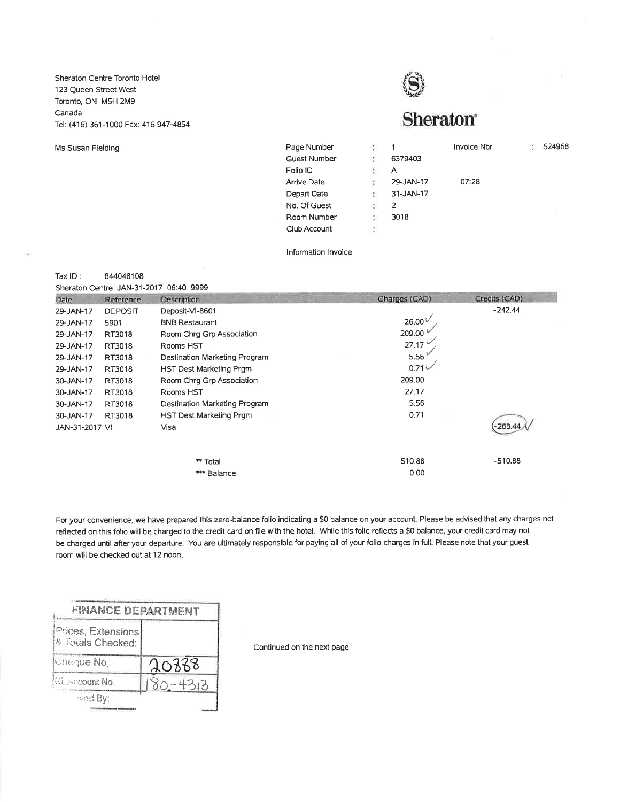Sheraton Centre Toronto Hotel 123 Queen Street West Toronto, ON M5H 2M9 Canada Tel: (416) 361-1000 Fax: 416-947-4854

Ms Susan Fielding



| Page Number         | $\mathcal{L}_{\mathcal{L}}$ | 1         | Invoice Nbr | ÷. | 524968 |
|---------------------|-----------------------------|-----------|-------------|----|--------|
| <b>Guest Number</b> | $\mathcal{L}_{\mathcal{A}}$ | 6379403   |             |    |        |
| Folio ID            | $\mathcal{L}_{\mathcal{A}}$ | А         |             |    |        |
| <b>Arrive Date</b>  | $\mathcal{L}_{\mathcal{A}}$ | 29-JAN-17 | 07:28       |    |        |
| Depart Date         | $\mathcal{L}_{\rm{max}}$    | 31-JAN-17 |             |    |        |
| No. Of Guest        | $\frac{1}{2}$               | 2         |             |    |        |
| Room Number         | $\mathcal{L}_{\mathcal{A}}$ | 3018      |             |    |        |
| Club Account        | S                           |           |             |    |        |

Information Invoice

Tax  $ID:$ 844048108

Sheraton Centre JAN-31-2017 06:40 9999

| Date           | Reference      | Description                   | Charges (CAD)   | Credits (CAD) |
|----------------|----------------|-------------------------------|-----------------|---------------|
| 29-JAN-17      | <b>DEPOSIT</b> | Deposit-VI-8601               |                 | $-242.44$     |
| 29-JAN-17      | 5901           | <b>BNB Restaurant</b>         | 26.00 $\dot{v}$ |               |
| 29-JAN-17      | RT3018         | Room Chrq Grp Association     | 209.00          |               |
| 29-JAN-17      | RT3018         | Rooms HST                     | 27.17           |               |
| 29-JAN-17      | RT3018         | Destination Marketing Program | 5.56            |               |
| 29-JAN-17      | RT3018         | HST Dest Marketing Prgm       | $0.71 \vee$     |               |
| 30-JAN-17      | RT3018         | Room Chrg Grp Association     | 209.00          |               |
| 30-JAN-17      | RT3018         | Rooms HST                     | 27.17           |               |
| 30-JAN-17      | RT3018         | Destination Marketing Program | 5.56            |               |
| 30-JAN-17      | RT3018         | HST Dest Marketing Prgm       | 0.71            |               |
| JAN-31-2017 VI |                | Visa                          |                 | 268.          |
|                |                |                               |                 |               |
|                |                | ** Total                      | 510.88          | $-510.88$     |
|                |                | *** Balance                   | 0.00            |               |

For your convenience, we have prepared this zero-balance folio indicating a \$0 balance on your account. Please be advised that any charges not reflected on this folio will be charged to the credit card on file with the hotel. While this folio reflects a \$0 balance, your credit card may not be charged until after your departure. You are ultimately responsible for paying all of your folio charges in full. Please note that your guest room will be checked out at 12 noon.

| <b>FINANCE DEPARTMENT</b>               |             |
|-----------------------------------------|-------------|
| Prices, Extensions<br>& Totals Checked: |             |
| Cheque No.                              | 20338       |
| CL Account No.                          | $80 - 4313$ |
| wed By:                                 |             |
|                                         |             |

Continued on the next page